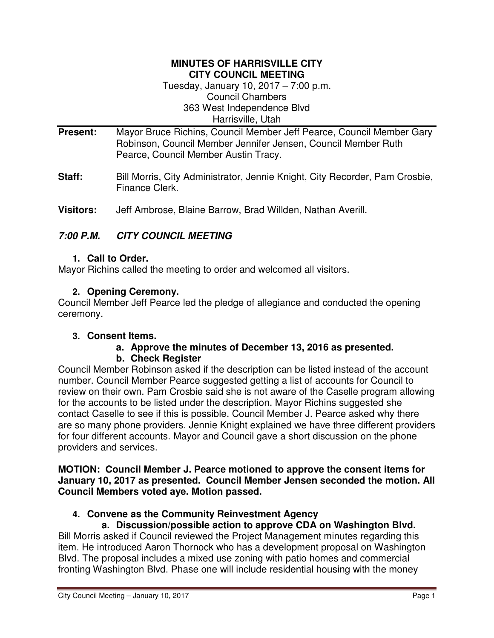#### **MINUTES OF HARRISVILLE CITY CITY COUNCIL MEETING**

Tuesday, January 10, 2017 – 7:00 p.m. Council Chambers 363 West Independence Blvd Harrisville, Utah

- **Present:** Mayor Bruce Richins, Council Member Jeff Pearce, Council Member Gary Robinson, Council Member Jennifer Jensen, Council Member Ruth Pearce, Council Member Austin Tracy.
- **Staff:** Bill Morris, City Administrator, Jennie Knight, City Recorder, Pam Crosbie, Finance Clerk.
- **Visitors:** Jeff Ambrose, Blaine Barrow, Brad Willden, Nathan Averill.

# **7:00 P.M. CITY COUNCIL MEETING**

#### **1. Call to Order.**

Mayor Richins called the meeting to order and welcomed all visitors.

### **2. Opening Ceremony.**

Council Member Jeff Pearce led the pledge of allegiance and conducted the opening ceremony.

#### **3. Consent Items.**

### **a. Approve the minutes of December 13, 2016 as presented.**

### **b. Check Register**

Council Member Robinson asked if the description can be listed instead of the account number. Council Member Pearce suggested getting a list of accounts for Council to review on their own. Pam Crosbie said she is not aware of the Caselle program allowing for the accounts to be listed under the description. Mayor Richins suggested she contact Caselle to see if this is possible. Council Member J. Pearce asked why there are so many phone providers. Jennie Knight explained we have three different providers for four different accounts. Mayor and Council gave a short discussion on the phone providers and services.

**MOTION: Council Member J. Pearce motioned to approve the consent items for January 10, 2017 as presented. Council Member Jensen seconded the motion. All Council Members voted aye. Motion passed.** 

### **4. Convene as the Community Reinvestment Agency**

# **a. Discussion/possible action to approve CDA on Washington Blvd.**

Bill Morris asked if Council reviewed the Project Management minutes regarding this item. He introduced Aaron Thornock who has a development proposal on Washington Blvd. The proposal includes a mixed use zoning with patio homes and commercial fronting Washington Blvd. Phase one will include residential housing with the money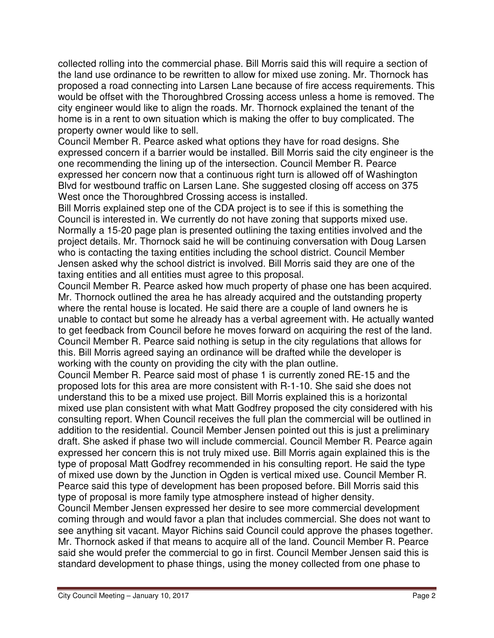collected rolling into the commercial phase. Bill Morris said this will require a section of the land use ordinance to be rewritten to allow for mixed use zoning. Mr. Thornock has proposed a road connecting into Larsen Lane because of fire access requirements. This would be offset with the Thoroughbred Crossing access unless a home is removed. The city engineer would like to align the roads. Mr. Thornock explained the tenant of the home is in a rent to own situation which is making the offer to buy complicated. The property owner would like to sell.

Council Member R. Pearce asked what options they have for road designs. She expressed concern if a barrier would be installed. Bill Morris said the city engineer is the one recommending the lining up of the intersection. Council Member R. Pearce expressed her concern now that a continuous right turn is allowed off of Washington Blvd for westbound traffic on Larsen Lane. She suggested closing off access on 375 West once the Thoroughbred Crossing access is installed.

Bill Morris explained step one of the CDA project is to see if this is something the Council is interested in. We currently do not have zoning that supports mixed use. Normally a 15-20 page plan is presented outlining the taxing entities involved and the project details. Mr. Thornock said he will be continuing conversation with Doug Larsen who is contacting the taxing entities including the school district. Council Member Jensen asked why the school district is involved. Bill Morris said they are one of the taxing entities and all entities must agree to this proposal.

Council Member R. Pearce asked how much property of phase one has been acquired. Mr. Thornock outlined the area he has already acquired and the outstanding property where the rental house is located. He said there are a couple of land owners he is unable to contact but some he already has a verbal agreement with. He actually wanted to get feedback from Council before he moves forward on acquiring the rest of the land. Council Member R. Pearce said nothing is setup in the city regulations that allows for this. Bill Morris agreed saying an ordinance will be drafted while the developer is working with the county on providing the city with the plan outline.

Council Member R. Pearce said most of phase 1 is currently zoned RE-15 and the proposed lots for this area are more consistent with R-1-10. She said she does not understand this to be a mixed use project. Bill Morris explained this is a horizontal mixed use plan consistent with what Matt Godfrey proposed the city considered with his consulting report. When Council receives the full plan the commercial will be outlined in addition to the residential. Council Member Jensen pointed out this is just a preliminary draft. She asked if phase two will include commercial. Council Member R. Pearce again expressed her concern this is not truly mixed use. Bill Morris again explained this is the type of proposal Matt Godfrey recommended in his consulting report. He said the type of mixed use down by the Junction in Ogden is vertical mixed use. Council Member R. Pearce said this type of development has been proposed before. Bill Morris said this type of proposal is more family type atmosphere instead of higher density.

Council Member Jensen expressed her desire to see more commercial development coming through and would favor a plan that includes commercial. She does not want to see anything sit vacant. Mayor Richins said Council could approve the phases together. Mr. Thornock asked if that means to acquire all of the land. Council Member R. Pearce said she would prefer the commercial to go in first. Council Member Jensen said this is standard development to phase things, using the money collected from one phase to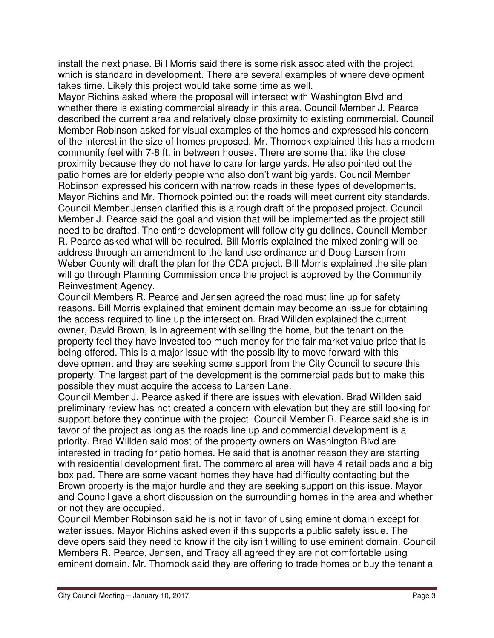install the next phase. Bill Morris said there is some risk associated with the project, which is standard in development. There are several examples of where development takes time. Likely this project would take some time as well.

Mayor Richins asked where the proposal will intersect with Washington Blvd and whether there is existing commercial already in this area. Council Member J. Pearce described the current area and relatively close proximity to existing commercial. Council Member Robinson asked for visual examples of the homes and expressed his concern of the interest in the size of homes proposed. Mr. Thornock explained this has a modern community feel with 7-8 ft. in between houses. There are some that like the close proximity because they do not have to care for large yards. He also pointed out the patio homes are for elderly people who also don't want big yards. Council Member Robinson expressed his concern with narrow roads in these types of developments. Mayor Richins and Mr. Thornock pointed out the roads will meet current city standards. Council Member Jensen clarified this is a rough draft of the proposed project. Council Member J. Pearce said the goal and vision that will be implemented as the project still need to be drafted. The entire development will follow city guidelines. Council Member R. Pearce asked what will be required. Bill Morris explained the mixed zoning will be address through an amendment to the land use ordinance and Doug Larsen from Weber County will draft the plan for the CDA project. Bill Morris explained the site plan will go through Planning Commission once the project is approved by the Community Reinvestment Agency.

Council Members R. Pearce and Jensen agreed the road must line up for safety reasons. Bill Morris explained that eminent domain may become an issue for obtaining the access required to line up the intersection. Brad Willden explained the current owner, David Brown, is in agreement with selling the home, but the tenant on the property feel they have invested too much money for the fair market value price that is being offered. This is a major issue with the possibility to move forward with this development and they are seeking some support from the City Council to secure this property. The largest part of the development is the commercial pads but to make this possible they must acquire the access to Larsen Lane.

Council Member J. Pearce asked if there are issues with elevation. Brad Willden said preliminary review has not created a concern with elevation but they are still looking for support before they continue with the project. Council Member R. Pearce said she is in favor of the project as long as the roads line up and commercial development is a priority. Brad Willden said most of the property owners on Washington Blvd are interested in trading for patio homes. He said that is another reason they are starting with residential development first. The commercial area will have 4 retail pads and a big box pad. There are some vacant homes they have had difficulty contacting but the Brown property is the major hurdle and they are seeking support on this issue. Mayor and Council gave a short discussion on the surrounding homes in the area and whether or not they are occupied.

Council Member Robinson said he is not in favor of using eminent domain except for water issues. Mayor Richins asked even if this supports a public safety issue. The developers said they need to know if the city isn't willing to use eminent domain. Council Members R. Pearce, Jensen, and Tracy all agreed they are not comfortable using eminent domain. Mr. Thornock said they are offering to trade homes or buy the tenant a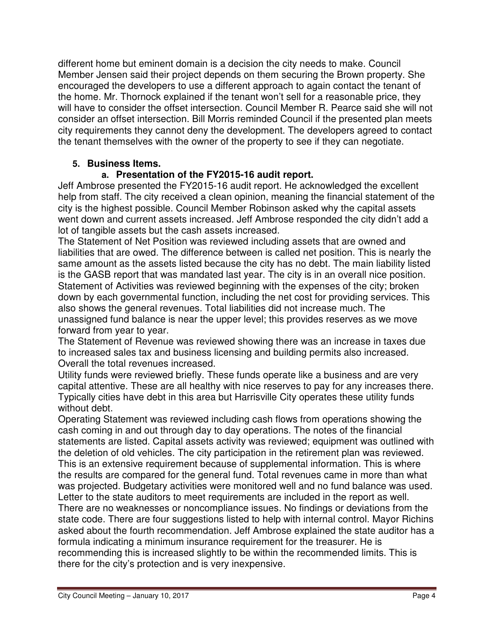different home but eminent domain is a decision the city needs to make. Council Member Jensen said their project depends on them securing the Brown property. She encouraged the developers to use a different approach to again contact the tenant of the home. Mr. Thornock explained if the tenant won't sell for a reasonable price, they will have to consider the offset intersection. Council Member R. Pearce said she will not consider an offset intersection. Bill Morris reminded Council if the presented plan meets city requirements they cannot deny the development. The developers agreed to contact the tenant themselves with the owner of the property to see if they can negotiate.

### **5. Business Items.**

### **a. Presentation of the FY2015-16 audit report.**

Jeff Ambrose presented the FY2015-16 audit report. He acknowledged the excellent help from staff. The city received a clean opinion, meaning the financial statement of the city is the highest possible. Council Member Robinson asked why the capital assets went down and current assets increased. Jeff Ambrose responded the city didn't add a lot of tangible assets but the cash assets increased.

The Statement of Net Position was reviewed including assets that are owned and liabilities that are owed. The difference between is called net position. This is nearly the same amount as the assets listed because the city has no debt. The main liability listed is the GASB report that was mandated last year. The city is in an overall nice position. Statement of Activities was reviewed beginning with the expenses of the city; broken down by each governmental function, including the net cost for providing services. This also shows the general revenues. Total liabilities did not increase much. The unassigned fund balance is near the upper level; this provides reserves as we move forward from year to year.

The Statement of Revenue was reviewed showing there was an increase in taxes due to increased sales tax and business licensing and building permits also increased. Overall the total revenues increased.

Utility funds were reviewed briefly. These funds operate like a business and are very capital attentive. These are all healthy with nice reserves to pay for any increases there. Typically cities have debt in this area but Harrisville City operates these utility funds without debt.

Operating Statement was reviewed including cash flows from operations showing the cash coming in and out through day to day operations. The notes of the financial statements are listed. Capital assets activity was reviewed; equipment was outlined with the deletion of old vehicles. The city participation in the retirement plan was reviewed. This is an extensive requirement because of supplemental information. This is where the results are compared for the general fund. Total revenues came in more than what was projected. Budgetary activities were monitored well and no fund balance was used. Letter to the state auditors to meet requirements are included in the report as well. There are no weaknesses or noncompliance issues. No findings or deviations from the state code. There are four suggestions listed to help with internal control. Mayor Richins asked about the fourth recommendation. Jeff Ambrose explained the state auditor has a formula indicating a minimum insurance requirement for the treasurer. He is recommending this is increased slightly to be within the recommended limits. This is there for the city's protection and is very inexpensive.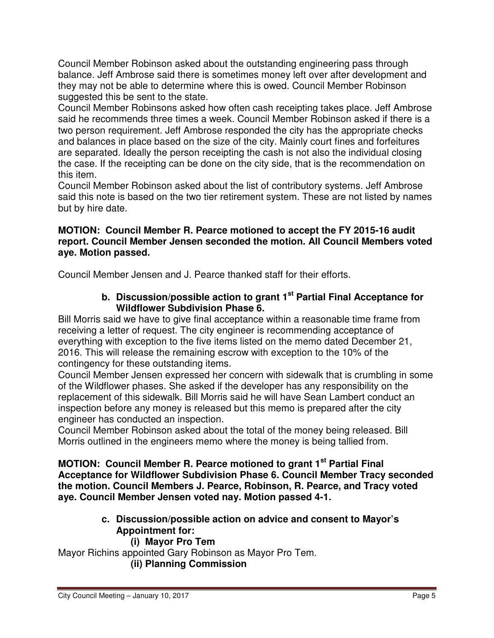Council Member Robinson asked about the outstanding engineering pass through balance. Jeff Ambrose said there is sometimes money left over after development and they may not be able to determine where this is owed. Council Member Robinson suggested this be sent to the state.

Council Member Robinsons asked how often cash receipting takes place. Jeff Ambrose said he recommends three times a week. Council Member Robinson asked if there is a two person requirement. Jeff Ambrose responded the city has the appropriate checks and balances in place based on the size of the city. Mainly court fines and forfeitures are separated. Ideally the person receipting the cash is not also the individual closing the case. If the receipting can be done on the city side, that is the recommendation on this item.

Council Member Robinson asked about the list of contributory systems. Jeff Ambrose said this note is based on the two tier retirement system. These are not listed by names but by hire date.

#### **MOTION: Council Member R. Pearce motioned to accept the FY 2015-16 audit report. Council Member Jensen seconded the motion. All Council Members voted aye. Motion passed.**

Council Member Jensen and J. Pearce thanked staff for their efforts.

### **b. Discussion/possible action to grant 1st Partial Final Acceptance for Wildflower Subdivision Phase 6.**

Bill Morris said we have to give final acceptance within a reasonable time frame from receiving a letter of request. The city engineer is recommending acceptance of everything with exception to the five items listed on the memo dated December 21, 2016. This will release the remaining escrow with exception to the 10% of the contingency for these outstanding items.

Council Member Jensen expressed her concern with sidewalk that is crumbling in some of the Wildflower phases. She asked if the developer has any responsibility on the replacement of this sidewalk. Bill Morris said he will have Sean Lambert conduct an inspection before any money is released but this memo is prepared after the city engineer has conducted an inspection.

Council Member Robinson asked about the total of the money being released. Bill Morris outlined in the engineers memo where the money is being tallied from.

**MOTION: Council Member R. Pearce motioned to grant 1st Partial Final Acceptance for Wildflower Subdivision Phase 6. Council Member Tracy seconded the motion. Council Members J. Pearce, Robinson, R. Pearce, and Tracy voted aye. Council Member Jensen voted nay. Motion passed 4-1.** 

> **c. Discussion/possible action on advice and consent to Mayor's Appointment for:**

**(i) Mayor Pro Tem**  Mayor Richins appointed Gary Robinson as Mayor Pro Tem. **(ii) Planning Commission**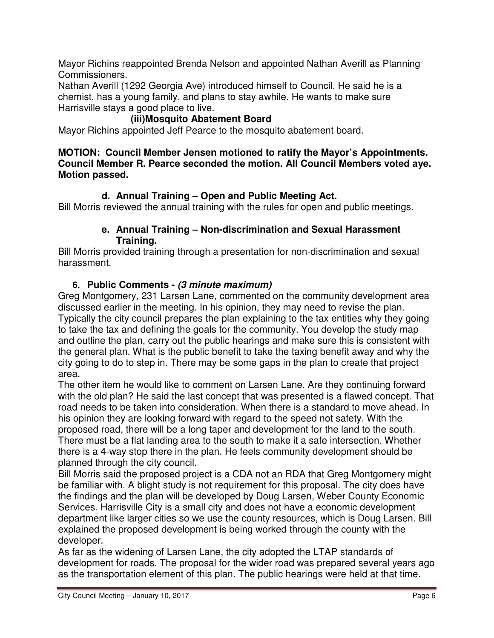Mayor Richins reappointed Brenda Nelson and appointed Nathan Averill as Planning Commissioners.

Nathan Averill (1292 Georgia Ave) introduced himself to Council. He said he is a chemist, has a young family, and plans to stay awhile. He wants to make sure Harrisville stays a good place to live.

### **(iii)Mosquito Abatement Board**

Mayor Richins appointed Jeff Pearce to the mosquito abatement board.

#### **MOTION: Council Member Jensen motioned to ratify the Mayor's Appointments. Council Member R. Pearce seconded the motion. All Council Members voted aye. Motion passed.**

# **d. Annual Training – Open and Public Meeting Act.**

Bill Morris reviewed the annual training with the rules for open and public meetings.

### **e. Annual Training – Non-discrimination and Sexual Harassment Training.**

Bill Morris provided training through a presentation for non-discrimination and sexual harassment.

# **6. Public Comments - (3 minute maximum)**

Greg Montgomery, 231 Larsen Lane, commented on the community development area discussed earlier in the meeting. In his opinion, they may need to revise the plan. Typically the city council prepares the plan explaining to the tax entities why they going to take the tax and defining the goals for the community. You develop the study map and outline the plan, carry out the public hearings and make sure this is consistent with the general plan. What is the public benefit to take the taxing benefit away and why the city going to do to step in. There may be some gaps in the plan to create that project area.

The other item he would like to comment on Larsen Lane. Are they continuing forward with the old plan? He said the last concept that was presented is a flawed concept. That road needs to be taken into consideration. When there is a standard to move ahead. In his opinion they are looking forward with regard to the speed not safety. With the proposed road, there will be a long taper and development for the land to the south. There must be a flat landing area to the south to make it a safe intersection. Whether there is a 4-way stop there in the plan. He feels community development should be planned through the city council.

Bill Morris said the proposed project is a CDA not an RDA that Greg Montgomery might be familiar with. A blight study is not requirement for this proposal. The city does have the findings and the plan will be developed by Doug Larsen, Weber County Economic Services. Harrisville City is a small city and does not have a economic development department like larger cities so we use the county resources, which is Doug Larsen. Bill explained the proposed development is being worked through the county with the developer.

As far as the widening of Larsen Lane, the city adopted the LTAP standards of development for roads. The proposal for the wider road was prepared several years ago as the transportation element of this plan. The public hearings were held at that time.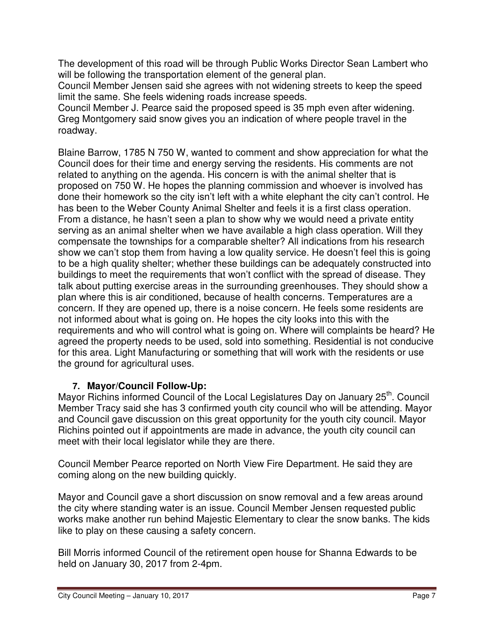The development of this road will be through Public Works Director Sean Lambert who will be following the transportation element of the general plan.

Council Member Jensen said she agrees with not widening streets to keep the speed limit the same. She feels widening roads increase speeds.

Council Member J. Pearce said the proposed speed is 35 mph even after widening. Greg Montgomery said snow gives you an indication of where people travel in the roadway.

Blaine Barrow, 1785 N 750 W, wanted to comment and show appreciation for what the Council does for their time and energy serving the residents. His comments are not related to anything on the agenda. His concern is with the animal shelter that is proposed on 750 W. He hopes the planning commission and whoever is involved has done their homework so the city isn't left with a white elephant the city can't control. He has been to the Weber County Animal Shelter and feels it is a first class operation. From a distance, he hasn't seen a plan to show why we would need a private entity serving as an animal shelter when we have available a high class operation. Will they compensate the townships for a comparable shelter? All indications from his research show we can't stop them from having a low quality service. He doesn't feel this is going to be a high quality shelter; whether these buildings can be adequately constructed into buildings to meet the requirements that won't conflict with the spread of disease. They talk about putting exercise areas in the surrounding greenhouses. They should show a plan where this is air conditioned, because of health concerns. Temperatures are a concern. If they are opened up, there is a noise concern. He feels some residents are not informed about what is going on. He hopes the city looks into this with the requirements and who will control what is going on. Where will complaints be heard? He agreed the property needs to be used, sold into something. Residential is not conducive for this area. Light Manufacturing or something that will work with the residents or use the ground for agricultural uses.

# **7. Mayor/Council Follow-Up:**

Mayor Richins informed Council of the Local Legislatures Day on January 25<sup>th</sup>. Council Member Tracy said she has 3 confirmed youth city council who will be attending. Mayor and Council gave discussion on this great opportunity for the youth city council. Mayor Richins pointed out if appointments are made in advance, the youth city council can meet with their local legislator while they are there.

Council Member Pearce reported on North View Fire Department. He said they are coming along on the new building quickly.

Mayor and Council gave a short discussion on snow removal and a few areas around the city where standing water is an issue. Council Member Jensen requested public works make another run behind Majestic Elementary to clear the snow banks. The kids like to play on these causing a safety concern.

Bill Morris informed Council of the retirement open house for Shanna Edwards to be held on January 30, 2017 from 2-4pm.